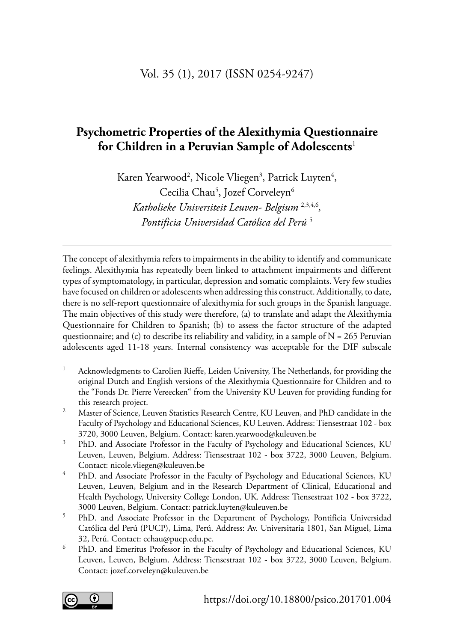#### Vol. 35 (1), 2017 (ISSN 0254-9247)

# **Psychometric Properties of the Alexithymia Questionnaire for Children in a Peruvian Sample of Adolescents**<sup>1</sup>

 *Katholieke Universiteit Leuven- Belgium* 2,3,4,6 *,*  Karen Yearwood<sup>2</sup>, Nicole Vliegen<sup>3</sup>, Patrick Luyten<sup>4</sup>, Cecilia Chau<sup>5</sup>, Jozef Corveleyn<sup>6</sup> *Pontificia Universidad Católica del Perú* <sup>5</sup>

The concept of alexithymia refers to impairments in the ability to identify and communicate feelings. Alexithymia has repeatedly been linked to attachment impairments and different types of symptomatology, in particular, depression and somatic complaints. Very few studies have focused on children or adolescents when addressing this construct. Additionally, to date, there is no self-report questionnaire of alexithymia for such groups in the Spanish language. The main objectives of this study were therefore, (a) to translate and adapt the Alexithymia Questionnaire for Children to Spanish; (b) to assess the factor structure of the adapted questionnaire; and (c) to describe its reliability and validity, in a sample of  $N = 265$  Peruvian adolescents aged 11-18 years. Internal consistency was acceptable for the DIF subscale

- <sup>1</sup> Acknowledgments to Carolien Rieffe, Leiden University, The Netherlands, for providing the original Dutch and English versions of the Alexithymia Questionnaire for Children and to the "Fonds Dr. Pierre Vereecken" from the University KU Leuven for providing funding for
- this research project.<br>Master of Science, Leuven Statistics Research Centre, KU Leuven, and PhD candidate in the Faculty of Psychology and Educational Sciences, KU Leuven. Address: Tiensestraat 102 - box
- 3720, 3000 Leuven, Belgium. Contact: karen.yearwood@kuleuven.be<br><sup>3</sup> PhD. and Associate Professor in the Faculty of Psychology and Educational Sciences, KU Leuven, Leuven, Belgium. Address: Tiensestraat 102 - box 3722, 3000 Leuven, Belgium. Contact: nicole.vliegen@kuleuven.be<br>4 PhD. and Associate Professor in the Faculty of Psychology and Educational Sciences, KU
- Leuven, Leuven, Belgium and in the Research Department of Clinical, Educational and Health Psychology, University College London, UK. Address: Tiensestraat 102 - box 3722,
- 3000 Leuven, Belgium. Contact: patrick.luyten@kuleuven.be 5 PhD. and Associate Professor in the Department of Psychology, Pontificia Universidad Católica del Perú (PUCP), Lima, Perú. Address: Av. Universitaria 1801, San Miguel, Lima 32, Perú. Contact: cchau@pucp.edu.pe.<br><sup>6</sup> PhD. and Emeritus Professor in the Faculty of Psychology and Educational Sciences, KU
- Leuven, Leuven, Belgium. Address: Tiensestraat 102 box 3722, 3000 Leuven, Belgium. Contact: jozef.corveleyn@kuleuven.be

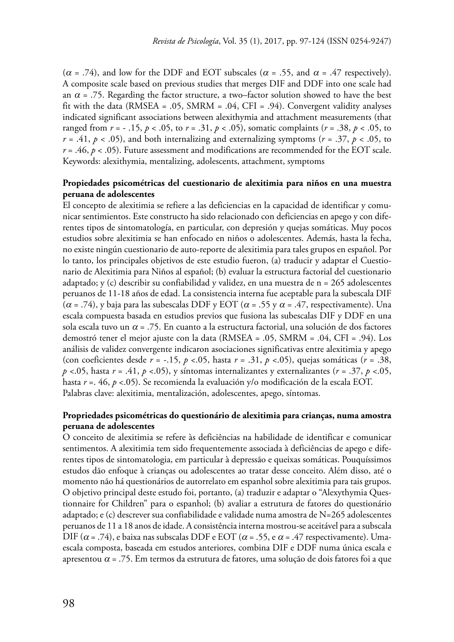ranged from *r* = - .15, *p* < .05, to *r* = .31, *p* < .05), somatic complaints (*r* = .38, *p* < .05, to  $r = .41, p < .05$ ), and both internalizing and externalizing symptoms ( $r = .37, p < .05$ , to  $r = .46, p < .05$ ). Future assessment and modifications are recommended for the EOT scale. ( $\alpha$  = .74), and low for the DDF and EOT subscales ( $\alpha$  = .55, and  $\alpha$  = .47 respectively). A composite scale based on previous studies that merges DIF and DDF into one scale had an  $\alpha$  = .75. Regarding the factor structure, a two–factor solution showed to have the best fit with the data (RMSEA = .05, SMRM = .04, CFI = .94). Convergent validity analyses indicated significant associations between alexithymia and attachment measurements (that Keywords: alexithymia, mentalizing, adolescents, attachment, symptoms

#### **Propiedades psicométricas del cuestionario de alexitimia para niños en una muestra peruana de adolescentes**

( $\alpha$  = .74), y baja para las subescalas DDF y EOT ( $\alpha$  = .55 y  $\alpha$  = .47, respectivamente). Una (con coeficientes desde *r* = -.15, *p* <.05, hasta *r* = .31, *p* <.05), quejas somáticas (*r* = .38, *p* <.05, hasta *r* = .41, *p* <.05), y síntomas internalizantes y externalizantes (*r* = .37, *p* <.05, El concepto de alexitimia se refiere a las deficiencias en la capacidad de identificar y comunicar sentimientos. Este constructo ha sido relacionado con deficiencias en apego y con diferentes tipos de sintomatología, en particular, con depresión y quejas somáticas. Muy pocos estudios sobre alexitimia se han enfocado en niños o adolescentes. Además, hasta la fecha, no existe ningún cuestionario de auto-reporte de alexitimia para tales grupos en español. Por lo tanto, los principales objetivos de este estudio fueron, (a) traducir y adaptar el Cuestionario de Alexitimia para Niños al español; (b) evaluar la estructura factorial del cuestionario adaptado; y (c) describir su confiabilidad y validez, en una muestra de  $n = 265$  adolescentes peruanos de 11-18 años de edad. La consistencia interna fue aceptable para la subescala DIF escala compuesta basada en estudios previos que fusiona las subescalas DIF y DDF en una sola escala tuvo un  $\alpha$  = .75. En cuanto a la estructura factorial, una solución de dos factores demostró tener el mejor ajuste con la data (RMSEA = .05, SMRM = .04, CFI = .94). Los análisis de validez convergente indicaron asociaciones significativas entre alexitimia y apego hasta *r* =. 46, *p* <.05). Se recomienda la evaluación y/o modificación de la escala EOT. Palabras clave: alexitimia, mentalización, adolescentes, apego, síntomas.

#### **Propriedades psicométricas do questionário de alexitimia para crianças, numa amostra peruana de adolescentes**

DIF ( $\alpha$  = .74), e baixa nas subscalas DDF e EOT ( $\alpha$  = .55, e  $\alpha$  = .47 respectivamente). Uma O conceito de alexitimia se refere às deficiências na habilidade de identificar e comunicar sentimentos. A alexitimia tem sido frequentemente associada à deficiências de apego e diferentes tipos de sintomatologia, em particular à depressão e queixas somáticas. Pouquíssimos estudos dão enfoque à crianças ou adolescentes ao tratar desse conceito. Além disso, até o momento não há questionários de autorrelato em espanhol sobre alexitimia para tais grupos. O objetivo principal deste estudo foi, portanto, (a) traduzir e adaptar o "Alexythymia Questionnaire for Children" para o espanhol; (b) avaliar a estrutura de fatores do questionário adaptado; e (c) descrever sua confiabilidade e validade numa amostra de N=265 adolescentes peruanos de 11 a 18 anos de idade. A consistência interna mostrou-se aceitável para a subscala escala composta, baseada em estudos anteriores, combina DIF e DDF numa única escala e apresentou  $\alpha$  = .75. Em termos da estrutura de fatores, uma solução de dois fatores foi a que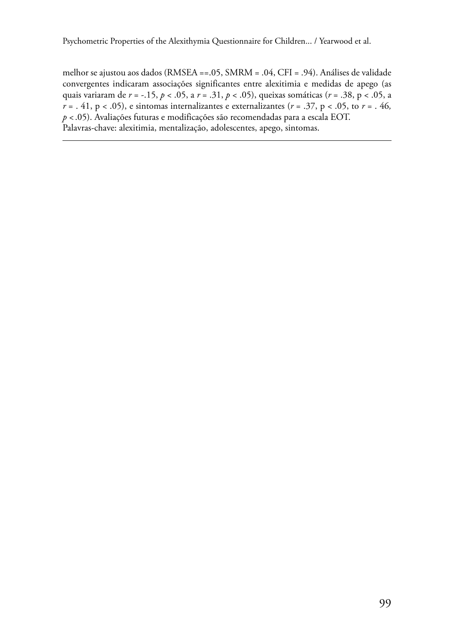quais variaram de *r* = -.15, *p* < .05, a *r* = .31, *p* < .05), queixas somáticas (*r* = .38, p < .05, a melhor se ajustou aos dados (RMSEA ==.05, SMRM = .04, CFI = .94). Análises de validade convergentes indicaram associações significantes entre alexitimia e medidas de apego (as  $r = 0.41$ , p < 0.05), e sintomas internalizantes e externalizantes ( $r = 0.37$ , p < 0.05, to  $r = 0.46$ , *p* < .05). Avaliações futuras e modificações são recomendadas para a escala EOT. Palavras-chave: alexitimia, mentalização, adolescentes, apego, sintomas.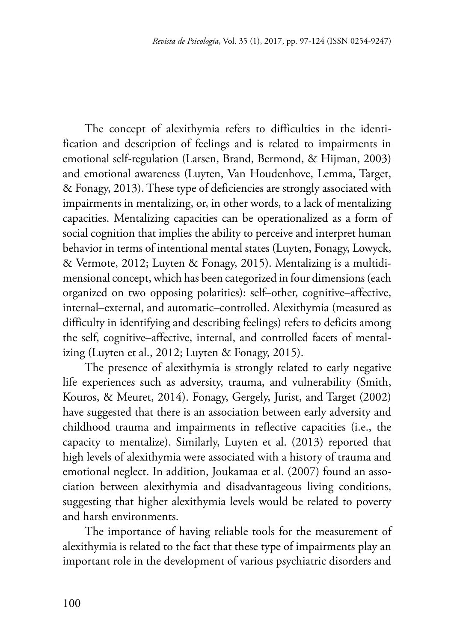The concept of alexithymia refers to difficulties in the identification and description of feelings and is related to impairments in emotional self-regulation (Larsen, Brand, Bermond, & Hijman, 2003) and emotional awareness (Luyten, Van Houdenhove, Lemma, Target, & Fonagy, 2013). These type of deficiencies are strongly associated with impairments in mentalizing, or, in other words, to a lack of mentalizing capacities. Mentalizing capacities can be operationalized as a form of social cognition that implies the ability to perceive and interpret human behavior in terms of intentional mental states (Luyten, Fonagy, Lowyck, & Vermote, 2012; Luyten & Fonagy, 2015). Mentalizing is a multidimensional concept, which has been categorized in four dimensions (each organized on two opposing polarities): self–other, cognitive–affective, internal–external, and automatic–controlled. Alexithymia (measured as difficulty in identifying and describing feelings) refers to deficits among the self, cognitive–affective, internal, and controlled facets of mentalizing (Luyten et al., 2012; Luyten & Fonagy, 2015).

The presence of alexithymia is strongly related to early negative life experiences such as adversity, trauma, and vulnerability (Smith, Kouros, & Meuret, 2014). Fonagy, Gergely, Jurist, and Target (2002) have suggested that there is an association between early adversity and childhood trauma and impairments in reflective capacities (i.e., the capacity to mentalize). Similarly, Luyten et al. (2013) reported that high levels of alexithymia were associated with a history of trauma and emotional neglect. In addition, Joukamaa et al. (2007) found an association between alexithymia and disadvantageous living conditions, suggesting that higher alexithymia levels would be related to poverty and harsh environments.

The importance of having reliable tools for the measurement of alexithymia is related to the fact that these type of impairments play an important role in the development of various psychiatric disorders and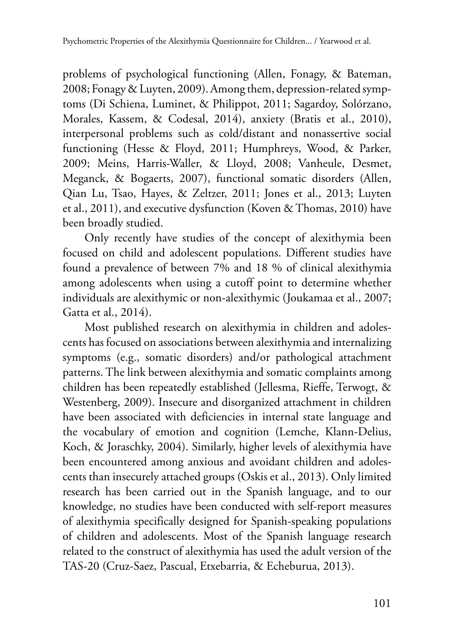problems of psychological functioning (Allen, Fonagy, & Bateman, 2008; Fonagy & Luyten, 2009). Among them, depression-related symptoms (Di Schiena, Luminet, & Philippot, 2011; Sagardoy, Solórzano, Morales, Kassem, & Codesal, 2014), anxiety (Bratis et al., 2010), interpersonal problems such as cold/distant and nonassertive social functioning (Hesse & Floyd, 2011; Humphreys, Wood, & Parker, 2009; Meins, Harris-Waller, & Lloyd, 2008; Vanheule, Desmet, Meganck, & Bogaerts, 2007), functional somatic disorders (Allen, Qian Lu, Tsao, Hayes, & Zeltzer, 2011; Jones et al., 2013; Luyten et al., 2011), and executive dysfunction (Koven & Thomas, 2010) have been broadly studied.

Only recently have studies of the concept of alexithymia been focused on child and adolescent populations. Different studies have found a prevalence of between 7% and 18 % of clinical alexithymia among adolescents when using a cutoff point to determine whether individuals are alexithymic or non-alexithymic (Joukamaa et al., 2007; Gatta et al., 2014).

Most published research on alexithymia in children and adolescents has focused on associations between alexithymia and internalizing symptoms (e.g., somatic disorders) and/or pathological attachment patterns. The link between alexithymia and somatic complaints among children has been repeatedly established (Jellesma, Rieffe, Terwogt, & Westenberg, 2009). Insecure and disorganized attachment in children have been associated with deficiencies in internal state language and the vocabulary of emotion and cognition (Lemche, Klann-Delius, Koch, & Joraschky, 2004). Similarly, higher levels of alexithymia have been encountered among anxious and avoidant children and adolescents than insecurely attached groups (Oskis et al., 2013). Only limited research has been carried out in the Spanish language, and to our knowledge, no studies have been conducted with self-report measures of alexithymia specifically designed for Spanish-speaking populations of children and adolescents. Most of the Spanish language research related to the construct of alexithymia has used the adult version of the TAS-20 (Cruz-Saez, Pascual, Etxebarria, & Echeburua, 2013).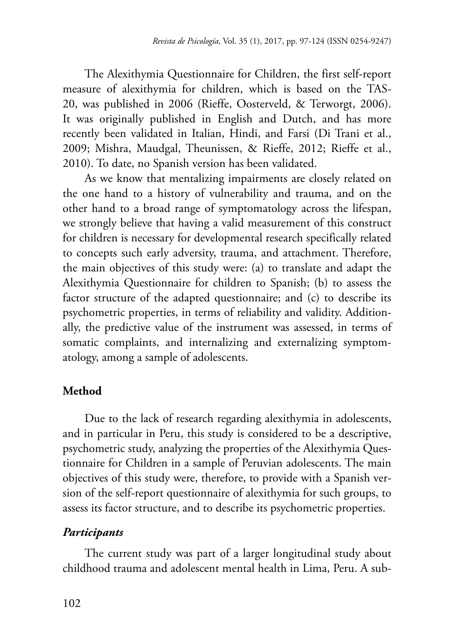The Alexithymia Questionnaire for Children, the first self-report measure of alexithymia for children, which is based on the TAS-20, was published in 2006 (Rieffe, Oosterveld, & Terworgt, 2006). It was originally published in English and Dutch, and has more recently been validated in Italian, Hindi, and Farsi (Di Trani et al., 2009; Mishra, Maudgal, Theunissen, & Rieffe, 2012; Rieffe et al., 2010). To date, no Spanish version has been validated.

As we know that mentalizing impairments are closely related on the one hand to a history of vulnerability and trauma, and on the other hand to a broad range of symptomatology across the lifespan, we strongly believe that having a valid measurement of this construct for children is necessary for developmental research specifically related to concepts such early adversity, trauma, and attachment. Therefore, the main objectives of this study were: (a) to translate and adapt the Alexithymia Questionnaire for children to Spanish; (b) to assess the factor structure of the adapted questionnaire; and (c) to describe its psychometric properties, in terms of reliability and validity. Additionally, the predictive value of the instrument was assessed, in terms of somatic complaints, and internalizing and externalizing symptomatology, among a sample of adolescents.

# **Method**

Due to the lack of research regarding alexithymia in adolescents, and in particular in Peru, this study is considered to be a descriptive, psychometric study, analyzing the properties of the Alexithymia Questionnaire for Children in a sample of Peruvian adolescents. The main objectives of this study were, therefore, to provide with a Spanish version of the self-report questionnaire of alexithymia for such groups, to assess its factor structure, and to describe its psychometric properties.

# *Participants*

The current study was part of a larger longitudinal study about childhood trauma and adolescent mental health in Lima, Peru. A sub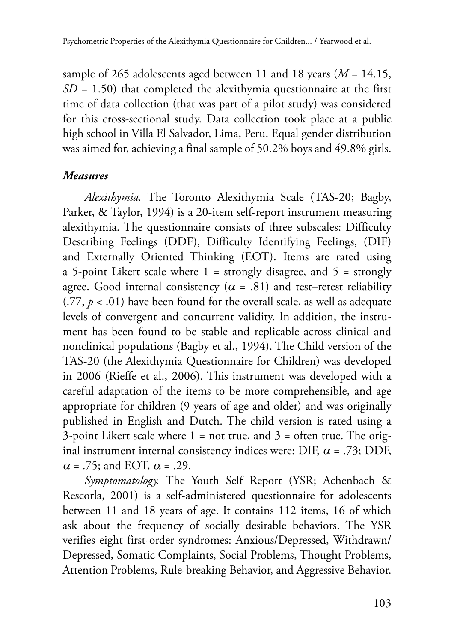sample of 265 adolescents aged between 11 and 18 years (*M* = 14.15, *SD* = 1.50) that completed the alexithymia questionnaire at the first time of data collection (that was part of a pilot study) was considered for this cross-sectional study. Data collection took place at a public high school in Villa El Salvador, Lima, Peru. Equal gender distribution was aimed for, achieving a final sample of 50.2% boys and 49.8% girls.

#### *Measures*

*Alexithymia.* The Toronto Alexithymia Scale (TAS-20; Bagby, Parker, & Taylor, 1994) is a 20-item self-report instrument measuring alexithymia. The questionnaire consists of three subscales: Difficulty Describing Feelings (DDF), Difficulty Identifying Feelings, (DIF) and Externally Oriented Thinking (EOT). Items are rated using a 5-point Likert scale where  $1 =$  strongly disagree, and  $5 =$  strongly agree. Good internal consistency ( $\alpha$  = .81) and test–retest reliability  $(.77, p < .01)$  have been found for the overall scale, as well as adequate levels of convergent and concurrent validity. In addition, the instrument has been found to be stable and replicable across clinical and nonclinical populations (Bagby et al., 1994). The Child version of the TAS-20 (the Alexithymia Questionnaire for Children) was developed in 2006 (Rieffe et al., 2006). This instrument was developed with a careful adaptation of the items to be more comprehensible, and age appropriate for children (9 years of age and older) and was originally published in English and Dutch. The child version is rated using a 3-point Likert scale where  $1 = not true$ , and  $3 = often true$ . The original instrument internal consistency indices were: DIF,  $\alpha$  = .73; DDF,  $\alpha$  = .75; and EOT,  $\alpha$  = .29.

*Symptomatology.* The Youth Self Report (YSR; Achenbach & Rescorla, 2001) is a self-administered questionnaire for adolescents between 11 and 18 years of age. It contains 112 items, 16 of which ask about the frequency of socially desirable behaviors. The YSR verifies eight first-order syndromes: Anxious/Depressed, Withdrawn/ Depressed, Somatic Complaints, Social Problems, Thought Problems, Attention Problems, Rule-breaking Behavior, and Aggressive Behavior.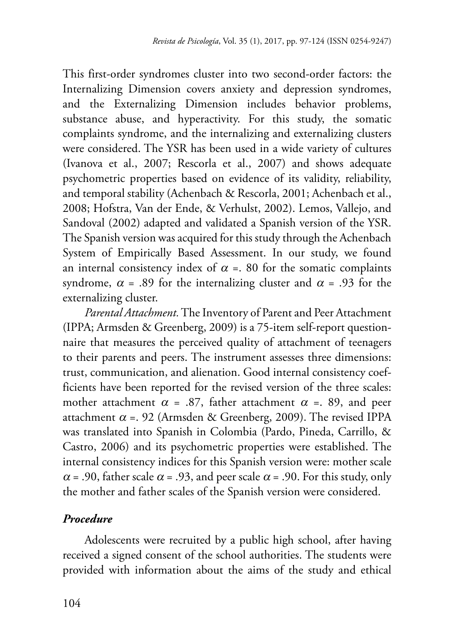This first-order syndromes cluster into two second-order factors: the Internalizing Dimension covers anxiety and depression syndromes, and the Externalizing Dimension includes behavior problems, substance abuse, and hyperactivity. For this study, the somatic complaints syndrome, and the internalizing and externalizing clusters were considered. The YSR has been used in a wide variety of cultures (Ivanova et al., 2007; Rescorla et al., 2007) and shows adequate psychometric properties based on evidence of its validity, reliability, and temporal stability (Achenbach & Rescorla, 2001; Achenbach et al., 2008; Hofstra, Van der Ende, & Verhulst, 2002). Lemos, Vallejo, and Sandoval (2002) adapted and validated a Spanish version of the YSR. The Spanish version was acquired for this study through the Achenbach System of Empirically Based Assessment. In our study, we found an internal consistency index of  $\alpha$  =. 80 for the somatic complaints syndrome,  $\alpha$  = .89 for the internalizing cluster and  $\alpha$  = .93 for the externalizing cluster.

*Parental Attachment.* The Inventory of Parent and Peer Attachment (IPPA; Armsden & Greenberg, 2009) is a 75-item self-report questionnaire that measures the perceived quality of attachment of teenagers to their parents and peers. The instrument assesses three dimensions: trust, communication, and alienation. Good internal consistency coefficients have been reported for the revised version of the three scales: mother attachment  $\alpha$  = .87, father attachment  $\alpha$  = .89, and peer attachment  $\alpha$  =. 92 (Armsden & Greenberg, 2009). The revised IPPA was translated into Spanish in Colombia (Pardo, Pineda, Carrillo, & Castro, 2006) and its psychometric properties were established. The internal consistency indices for this Spanish version were: mother scale  $\alpha$  = .90, father scale  $\alpha$  = .93, and peer scale  $\alpha$  = .90. For this study, only the mother and father scales of the Spanish version were considered.

## *Procedure*

Adolescents were recruited by a public high school, after having received a signed consent of the school authorities. The students were provided with information about the aims of the study and ethical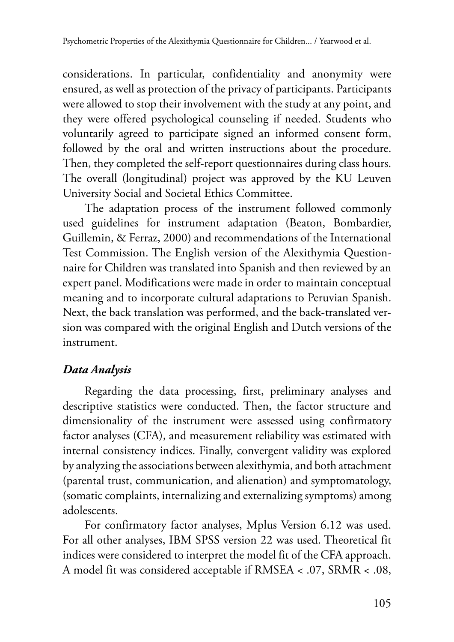considerations. In particular, confidentiality and anonymity were ensured, as well as protection of the privacy of participants. Participants were allowed to stop their involvement with the study at any point, and they were offered psychological counseling if needed. Students who voluntarily agreed to participate signed an informed consent form, followed by the oral and written instructions about the procedure. Then, they completed the self-report questionnaires during class hours. The overall (longitudinal) project was approved by the KU Leuven University Social and Societal Ethics Committee.

The adaptation process of the instrument followed commonly used guidelines for instrument adaptation (Beaton, Bombardier, Guillemin, & Ferraz, 2000) and recommendations of the International Test Commission. The English version of the Alexithymia Questionnaire for Children was translated into Spanish and then reviewed by an expert panel. Modifications were made in order to maintain conceptual meaning and to incorporate cultural adaptations to Peruvian Spanish. Next, the back translation was performed, and the back-translated version was compared with the original English and Dutch versions of the instrument.

# *Data Analysis*

Regarding the data processing, first, preliminary analyses and descriptive statistics were conducted. Then, the factor structure and dimensionality of the instrument were assessed using confirmatory factor analyses (CFA), and measurement reliability was estimated with internal consistency indices. Finally, convergent validity was explored by analyzing the associations between alexithymia, and both attachment (parental trust, communication, and alienation) and symptomatology, (somatic complaints, internalizing and externalizing symptoms) among adolescents.

For confirmatory factor analyses, Mplus Version 6.12 was used. For all other analyses, IBM SPSS version 22 was used. Theoretical fit indices were considered to interpret the model fit of the CFA approach. A model fit was considered acceptable if RMSEA < .07, SRMR < .08,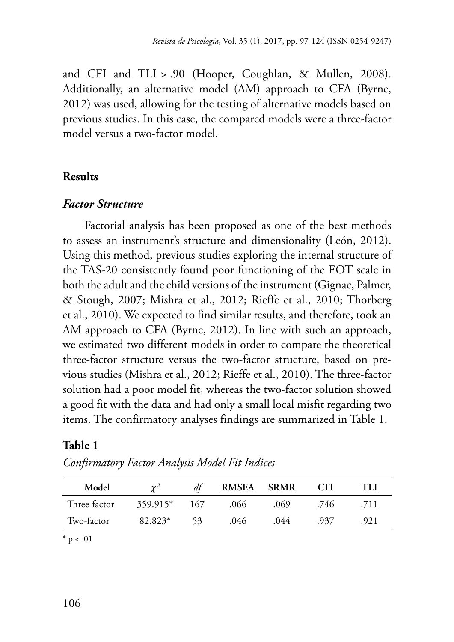and CFI and TLI > .90 (Hooper, Coughlan, & Mullen, 2008). Additionally, an alternative model (AM) approach to CFA (Byrne, 2012) was used, allowing for the testing of alternative models based on previous studies. In this case, the compared models were a three-factor model versus a two-factor model.

#### **Results**

## *Factor Structure*

Factorial analysis has been proposed as one of the best methods to assess an instrument's structure and dimensionality (León, 2012). Using this method, previous studies exploring the internal structure of the TAS-20 consistently found poor functioning of the EOT scale in both the adult and the child versions of the instrument (Gignac, Palmer, & Stough, 2007; Mishra et al., 2012; Rieffe et al., 2010; Thorberg et al., 2010). We expected to find similar results, and therefore, took an AM approach to CFA (Byrne, 2012). In line with such an approach, we estimated two different models in order to compare the theoretical three-factor structure versus the two-factor structure, based on previous studies (Mishra et al., 2012; Rieffe et al., 2010). The three-factor solution had a poor model fit, whereas the two-factor solution showed a good fit with the data and had only a small local misfit regarding two items. The confirmatory analyses findings are summarized in Table 1.

## **Table 1**

| Model        | $\gamma^2$ | dt  | <b>RMSEA</b> | <b>SRMR</b> | CFI  | TIJ  |
|--------------|------------|-----|--------------|-------------|------|------|
| Three-factor | 359.915*   | 167 | .066         | .069        | .746 | .711 |
| Two-factor   | 82.823*    | 53  | .046         | .044        | .937 | .921 |

*Confirmatory Factor Analysis Model Fit Indices* 

 $*$  p < .01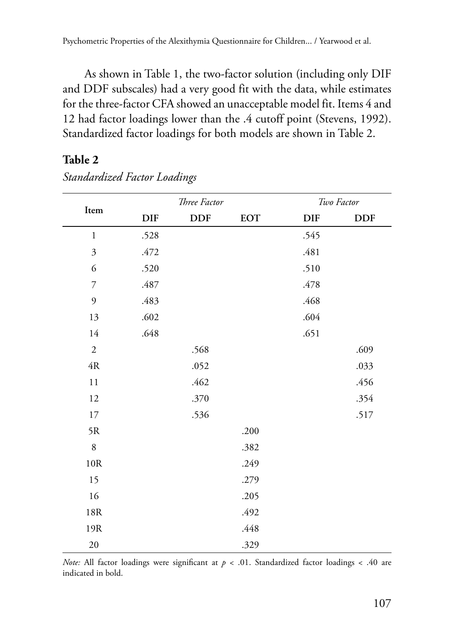As shown in Table 1, the two-factor solution (including only DIF and DDF subscales) had a very good fit with the data, while estimates for the three-factor CFA showed an unacceptable model fit. Items 4 and 12 had factor loadings lower than the .4 cutoff point (Stevens, 1992). Standardized factor loadings for both models are shown in Table 2.

#### **Table 2**

|                |            | Three Factor |            |            | Two Factor |
|----------------|------------|--------------|------------|------------|------------|
| $\rm{Item}$    | <b>DIF</b> | <b>DDF</b>   | <b>EOT</b> | <b>DIF</b> | <b>DDF</b> |
| $\,1$          | .528       |              |            | .545       |            |
| $\mathfrak{Z}$ | .472       |              |            | .481       |            |
| 6              | .520       |              |            | .510       |            |
| 7              | .487       |              |            | .478       |            |
| 9              | .483       |              |            | .468       |            |
| 13             | .602       |              |            | .604       |            |
| 14             | .648       |              |            | .651       |            |
| $\sqrt{2}$     |            | .568         |            |            | .609       |
| $4\mathrm{R}$  |            | .052         |            |            | .033       |
| $1\,1$         |            | .462         |            |            | .456       |
| 12             |            | .370         |            |            | .354       |
| $17\,$         |            | .536         |            |            | .517       |
| 5R             |            |              | .200       |            |            |
| $\,8\,$        |            |              | .382       |            |            |
| $10\mathrm{R}$ |            |              | .249       |            |            |
| 15             |            |              | .279       |            |            |
| 16             |            |              | .205       |            |            |
| $18\mathrm{R}$ |            |              | .492       |            |            |
| 19R            |            |              | .448       |            |            |
| $20\,$         |            |              | .329       |            |            |

*Standardized Factor Loadings* 

*Note:* All factor loadings were significant at  $p < .01$ . Standardized factor loadings < .40 are indicated in bold.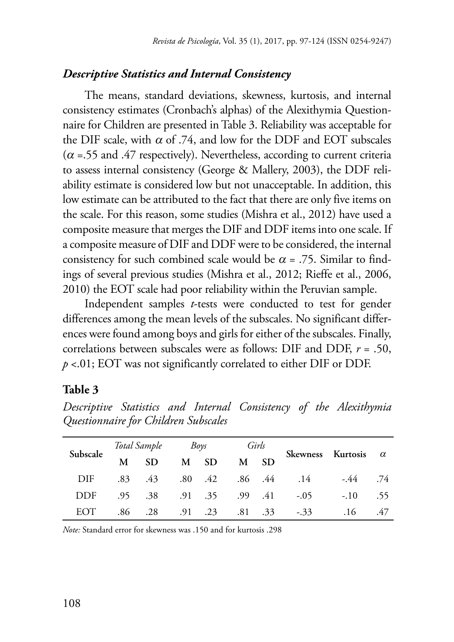# *Descriptive Statistics and Internal Consistency*

The means, standard deviations, skewness, kurtosis, and internal consistency estimates (Cronbach's alphas) of the Alexithymia Questionnaire for Children are presented in Table 3. Reliability was acceptable for the DIF scale, with  $\alpha$  of .74, and low for the DDF and EOT subscales  $(\alpha = .55$  and .47 respectively). Nevertheless, according to current criteria to assess internal consistency (George & Mallery, 2003), the DDF reliability estimate is considered low but not unacceptable. In addition, this low estimate can be attributed to the fact that there are only five items on the scale. For this reason, some studies (Mishra et al., 2012) have used a composite measure that merges the DIF and DDF items into one scale. If a composite measure of DIF and DDF were to be considered, the internal consistency for such combined scale would be  $\alpha$  = .75. Similar to findings of several previous studies (Mishra et al., 2012; Rieffe et al., 2006, 2010) the EOT scale had poor reliability within the Peruvian sample.

 correlations between subscales were as follows: DIF and DDF, *r* = .50, Independent samples *t*-tests were conducted to test for gender differences among the mean levels of the subscales. No significant differences were found among boys and girls for either of the subscales. Finally, *p* <.01; EOT was not significantly correlated to either DIF or DDF.

#### **Table 3**

|            |   | Total Sample | Boys            |              | Girls |                 |                            |        |     |
|------------|---|--------------|-----------------|--------------|-------|-----------------|----------------------------|--------|-----|
| Subscale   | M | SD.          |                 | M SD         | M SD  |                 | Skewness Kurtosis $\alpha$ |        |     |
| DIF        |   | $.83 \t .43$ |                 | $.80 \t .42$ |       |                 | .86 .44 .14                | -.44   | .74 |
| <b>DDF</b> |   | .95 .38      |                 | .91 .35      |       |                 | $.99$ $.41$ $-.05$         | $-.10$ | .55 |
| EOT        |   | .86 .28      | $.91 \quad .23$ |              |       | $.81 \quad .33$ | $-.33$                     | .16    | .47 |

*Descriptive Statistics and Internal Consistency of the Alexithymia Questionnaire for Children Subscales* 

*Note:* Standard error for skewness was .150 and for kurtosis .298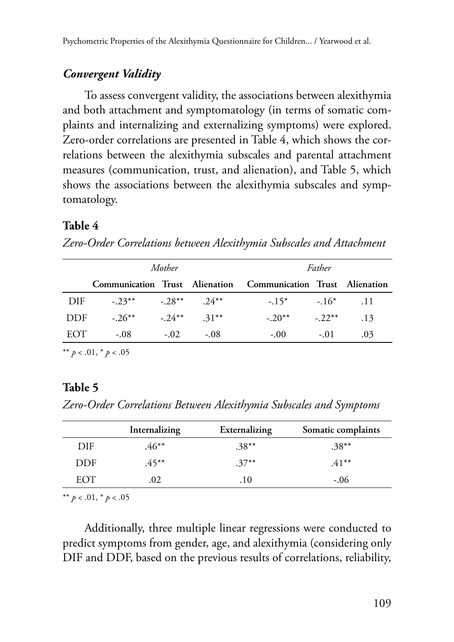## *Convergent Validity*

To assess convergent validity, the associations between alexithymia and both attachment and symptomatology (in terms of somatic complaints and internalizing and externalizing symptoms) were explored. Zero-order correlations are presented in Table 4, which shows the correlations between the alexithymia subscales and parental attachment measures (communication, trust, and alienation), and Table 5, which shows the associations between the alexithymia subscales and symptomatology.

## **Table 4**

*Zero-Order Correlations between Alexithymia Subscales and Attachment* 

|      |                                 | Mother |               |                                                               | Father     |     |
|------|---------------------------------|--------|---------------|---------------------------------------------------------------|------------|-----|
|      |                                 |        |               | Communication Trust Alienation Communication Trust Alienation |            |     |
| DIF  | $-23^{**}$ $-28^{**}$ $24^{**}$ |        |               | $-15^*$ $-16^*$ $-11$                                         |            |     |
| DDF. | $-26***$                        |        | $-24***$ 31** | $-20^{**}$                                                    | $-22^{**}$ | .13 |
| EOT  | $-.08$                          | $-.02$ | $-.08$        | $-.00$                                                        | $-.01$     | .03 |

\*\*  $p < .01$ , \*  $p < .05$ 

## **Table 5**

*Zero-Order Correlations Between Alexithymia Subscales and Symptoms* 

| DIE | 46**     |          |          |
|-----|----------|----------|----------|
|     |          | $.38***$ | $.38***$ |
| DDF | $.45***$ | $.37***$ | $.41***$ |
| EOT | റാ       | .10      | $-.06$   |

\*\* *p* < .01, \* *p* < .05

Additionally, three multiple linear regressions were conducted to predict symptoms from gender, age, and alexithymia (considering only DIF and DDF, based on the previous results of correlations, reliability,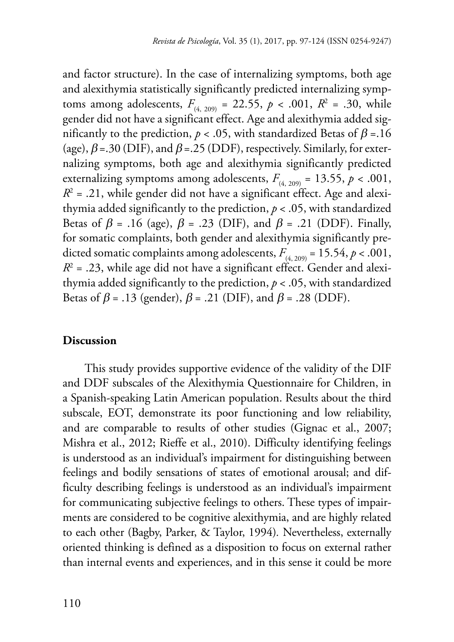and factor structure). In the case of internalizing symptoms, both age and alexithymia statistically significantly predicted internalizing symptoms among adolescents,  $F_{(4, 209)} = 22.55$ ,  $p < .001$ ,  $R^2 = .30$ , while gender did not have a significant effect. Age and alexithymia added significantly to the prediction,  $p < .05$ , with standardized Betas of  $\beta = .16$ (age),  $\beta$  = .30 (DIF), and  $\beta$  = .25 (DDF), respectively. Similarly, for externalizing symptoms, both age and alexithymia significantly predicted externalizing symptoms among adolescents,  $F_{(4, 209)} = 13.55$ ,  $p < .001$ ,  $R^2$  = .21, while gender did not have a significant effect. Age and alexi thymia added significantly to the prediction, *p* < .05, with standardized Betas of  $\beta$  = .16 (age),  $\beta$  = .23 (DIF), and  $\beta$  = .21 (DDF). Finally, for somatic complaints, both gender and alexithymia significantly predicted somatic complaints among adolescents,  $F_{(4, 209)} = 15.54$ ,  $p < .001$ ,  $R^2$  = .23, while age did not have a significant effect. Gender and alexi thymia added significantly to the prediction, *p* < .05, with standardized Betas of  $\beta$  = .13 (gender),  $\beta$  = .21 (DIF), and  $\beta$  = .28 (DDF).

## **Discussion**

This study provides supportive evidence of the validity of the DIF and DDF subscales of the Alexithymia Questionnaire for Children, in a Spanish-speaking Latin American population. Results about the third subscale, EOT, demonstrate its poor functioning and low reliability, and are comparable to results of other studies (Gignac et al., 2007; Mishra et al., 2012; Rieffe et al., 2010). Difficulty identifying feelings is understood as an individual's impairment for distinguishing between feelings and bodily sensations of states of emotional arousal; and difficulty describing feelings is understood as an individual's impairment for communicating subjective feelings to others. These types of impairments are considered to be cognitive alexithymia, and are highly related to each other (Bagby, Parker, & Taylor, 1994)*.* Nevertheless, externally oriented thinking is defined as a disposition to focus on external rather than internal events and experiences, and in this sense it could be more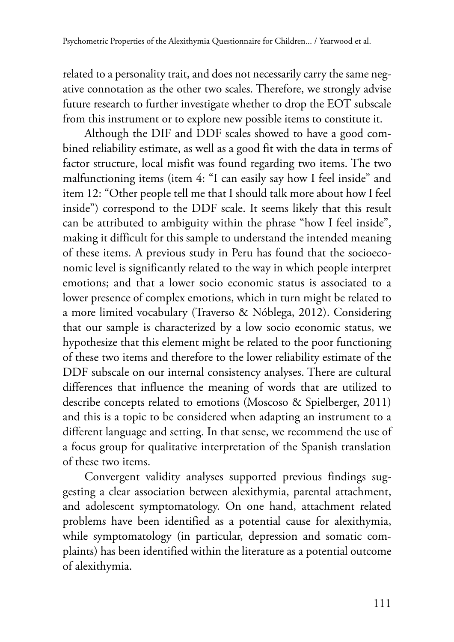related to a personality trait, and does not necessarily carry the same negative connotation as the other two scales. Therefore, we strongly advise future research to further investigate whether to drop the EOT subscale from this instrument or to explore new possible items to constitute it.

Although the DIF and DDF scales showed to have a good combined reliability estimate, as well as a good fit with the data in terms of factor structure, local misfit was found regarding two items. The two malfunctioning items (item 4: "I can easily say how I feel inside" and item 12: "Other people tell me that I should talk more about how I feel inside") correspond to the DDF scale. It seems likely that this result can be attributed to ambiguity within the phrase "how I feel inside", making it difficult for this sample to understand the intended meaning of these items. A previous study in Peru has found that the socioeconomic level is significantly related to the way in which people interpret emotions; and that a lower socio economic status is associated to a lower presence of complex emotions, which in turn might be related to a more limited vocabulary (Traverso & Nóblega, 2012). Considering that our sample is characterized by a low socio economic status, we hypothesize that this element might be related to the poor functioning of these two items and therefore to the lower reliability estimate of the DDF subscale on our internal consistency analyses. There are cultural differences that influence the meaning of words that are utilized to describe concepts related to emotions (Moscoso & Spielberger, 2011) and this is a topic to be considered when adapting an instrument to a different language and setting. In that sense, we recommend the use of a focus group for qualitative interpretation of the Spanish translation of these two items.

Convergent validity analyses supported previous findings suggesting a clear association between alexithymia, parental attachment, and adolescent symptomatology. On one hand, attachment related problems have been identified as a potential cause for alexithymia, while symptomatology (in particular, depression and somatic complaints) has been identified within the literature as a potential outcome of alexithymia.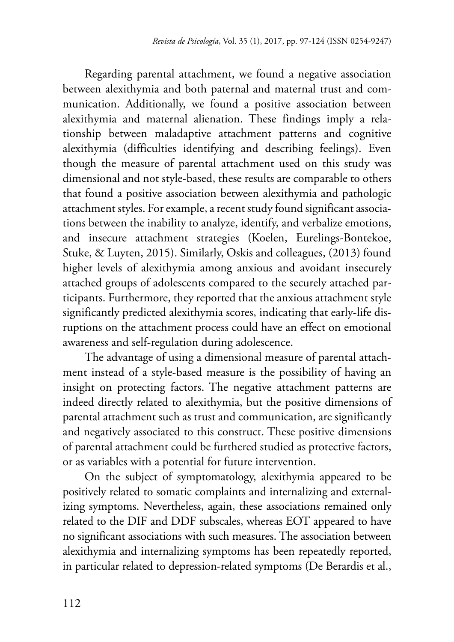Regarding parental attachment, we found a negative association between alexithymia and both paternal and maternal trust and communication. Additionally, we found a positive association between alexithymia and maternal alienation. These findings imply a relationship between maladaptive attachment patterns and cognitive alexithymia (difficulties identifying and describing feelings). Even though the measure of parental attachment used on this study was dimensional and not style-based, these results are comparable to others that found a positive association between alexithymia and pathologic attachment styles. For example, a recent study found significant associations between the inability to analyze, identify, and verbalize emotions, and insecure attachment strategies (Koelen, Eurelings-Bontekoe, Stuke, & Luyten, 2015). Similarly, Oskis and colleagues, (2013) found higher levels of alexithymia among anxious and avoidant insecurely attached groups of adolescents compared to the securely attached participants. Furthermore, they reported that the anxious attachment style significantly predicted alexithymia scores, indicating that early-life disruptions on the attachment process could have an effect on emotional awareness and self-regulation during adolescence.

The advantage of using a dimensional measure of parental attachment instead of a style-based measure is the possibility of having an insight on protecting factors. The negative attachment patterns are indeed directly related to alexithymia, but the positive dimensions of parental attachment such as trust and communication, are significantly and negatively associated to this construct. These positive dimensions of parental attachment could be furthered studied as protective factors, or as variables with a potential for future intervention.

On the subject of symptomatology, alexithymia appeared to be positively related to somatic complaints and internalizing and externalizing symptoms. Nevertheless, again, these associations remained only related to the DIF and DDF subscales, whereas EOT appeared to have no significant associations with such measures. The association between alexithymia and internalizing symptoms has been repeatedly reported, in particular related to depression-related symptoms (De Berardis et al.,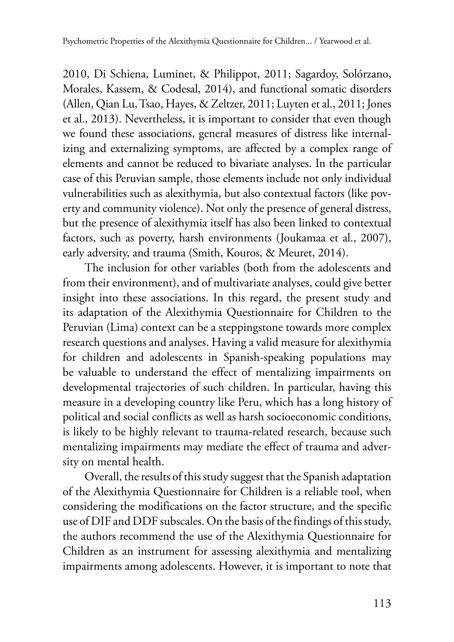2010, Di Schiena, Luminet, & Philippot, 2011; Sagardoy, Solórzano, Morales, Kassem, & Codesal, 2014), and functional somatic disorders (Allen, Qian Lu, Tsao, Hayes, & Zeltzer, 2011; Luyten et al., 2011; Jones et al., 2013). Nevertheless, it is important to consider that even though we found these associations, general measures of distress like internalizing and externalizing symptoms, are affected by a complex range of elements and cannot be reduced to bivariate analyses. In the particular case of this Peruvian sample, those elements include not only individual vulnerabilities such as alexithymia, but also contextual factors (like poverty and community violence). Not only the presence of general distress, but the presence of alexithymia itself has also been linked to contextual factors, such as poverty, harsh environments (Joukamaa et al., 2007), early adversity, and trauma (Smith, Kouros, & Meuret, 2014).

The inclusion for other variables (both from the adolescents and from their environment), and of multivariate analyses, could give better insight into these associations. In this regard, the present study and its adaptation of the Alexithymia Questionnaire for Children to the Peruvian (Lima) context can be a steppingstone towards more complex research questions and analyses. Having a valid measure for alexithymia for children and adolescents in Spanish-speaking populations may be valuable to understand the effect of mentalizing impairments on developmental trajectories of such children. In particular, having this measure in a developing country like Peru, which has a long history of political and social conflicts as well as harsh socioeconomic conditions, is likely to be highly relevant to trauma-related research, because such mentalizing impairments may mediate the effect of trauma and adversity on mental health.

Overall, the results of this study suggest that the Spanish adaptation of the Alexithymia Questionnaire for Children is a reliable tool, when considering the modifications on the factor structure, and the specific use of DIF and DDF subscales. On the basis of the findings of this study, the authors recommend the use of the Alexithymia Questionnaire for Children as an instrument for assessing alexithymia and mentalizing impairments among adolescents. However, it is important to note that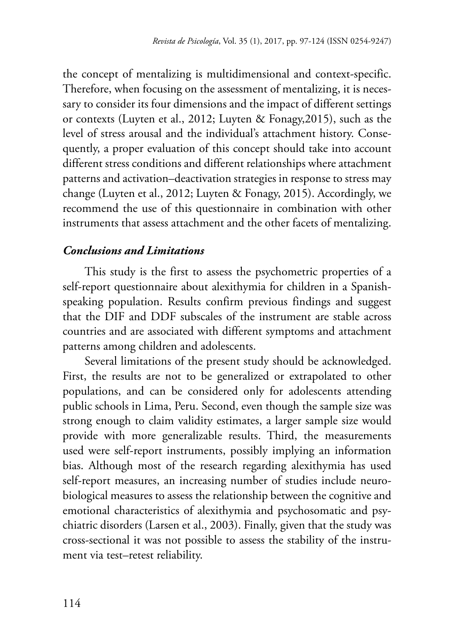the concept of mentalizing is multidimensional and context-specific. Therefore, when focusing on the assessment of mentalizing, it is necessary to consider its four dimensions and the impact of different settings or contexts (Luyten et al., 2012; Luyten & Fonagy,2015), such as the level of stress arousal and the individual's attachment history. Consequently, a proper evaluation of this concept should take into account different stress conditions and different relationships where attachment patterns and activation–deactivation strategies in response to stress may change (Luyten et al., 2012; Luyten & Fonagy, 2015). Accordingly, we recommend the use of this questionnaire in combination with other instruments that assess attachment and the other facets of mentalizing.

# *Conclusions and Limitations*

This study is the first to assess the psychometric properties of a self-report questionnaire about alexithymia for children in a Spanishspeaking population. Results confirm previous findings and suggest that the DIF and DDF subscales of the instrument are stable across countries and are associated with different symptoms and attachment patterns among children and adolescents.

Several limitations of the present study should be acknowledged. First, the results are not to be generalized or extrapolated to other populations, and can be considered only for adolescents attending public schools in Lima, Peru. Second, even though the sample size was strong enough to claim validity estimates, a larger sample size would provide with more generalizable results. Third, the measurements used were self-report instruments, possibly implying an information bias. Although most of the research regarding alexithymia has used self-report measures, an increasing number of studies include neurobiological measures to assess the relationship between the cognitive and emotional characteristics of alexithymia and psychosomatic and psychiatric disorders (Larsen et al., 2003). Finally, given that the study was cross-sectional it was not possible to assess the stability of the instrument via test–retest reliability.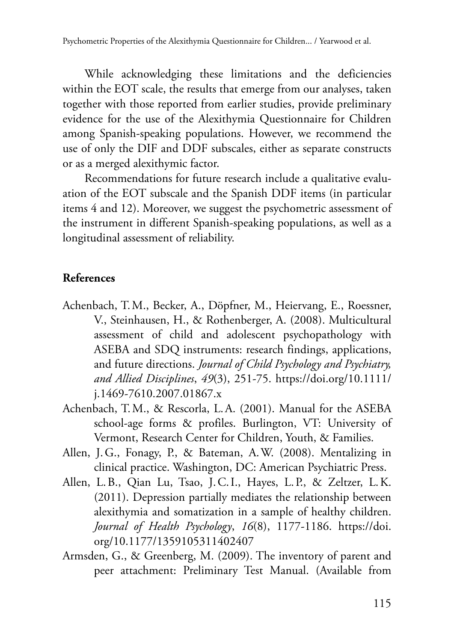While acknowledging these limitations and the deficiencies within the EOT scale, the results that emerge from our analyses, taken together with those reported from earlier studies, provide preliminary evidence for the use of the Alexithymia Questionnaire for Children among Spanish-speaking populations. However, we recommend the use of only the DIF and DDF subscales, either as separate constructs or as a merged alexithymic factor.

Recommendations for future research include a qualitative evaluation of the EOT subscale and the Spanish DDF items (in particular items 4 and 12). Moreover, we suggest the psychometric assessment of the instrument in different Spanish-speaking populations, as well as a longitudinal assessment of reliability.

#### **References**

- Achenbach, T. M., Becker, A., Döpfner, M., Heiervang, E., Roessner, V., Steinhausen, H., & Rothenberger, A. (2008). Multicultural assessment of child and adolescent psychopathology with ASEBA and SDQ instruments: research findings, applications, and future directions. *Journal of Child Psychology and Psychiatry, and Allied Disciplines*, *49*(3), 251-75. https://doi.org/10.1111/ j.1469-7610.2007.01867.x
- Achenbach, T.M., & Rescorla, L.A. (2001). Manual for the ASEBA school-age forms & profiles. Burlington, VT: University of Vermont, Research Center for Children, Youth, & Families.
- Allen, J. G., Fonagy, P., & Bateman, A.W. (2008). Mentalizing in clinical practice. Washington, DC: American Psychiatric Press.
- Allen, L. B., Qian Lu, Tsao, J.C.I., Hayes, L. P., & Zeltzer, L.K. (2011). Depression partially mediates the relationship between alexithymia and somatization in a sample of healthy children. *Journal of Health Psychology*, *16*(8), 1177-1186. https://doi. org/10.1177/1359105311402407
- Armsden, G., & Greenberg, M. (2009). The inventory of parent and peer attachment: Preliminary Test Manual. (Available from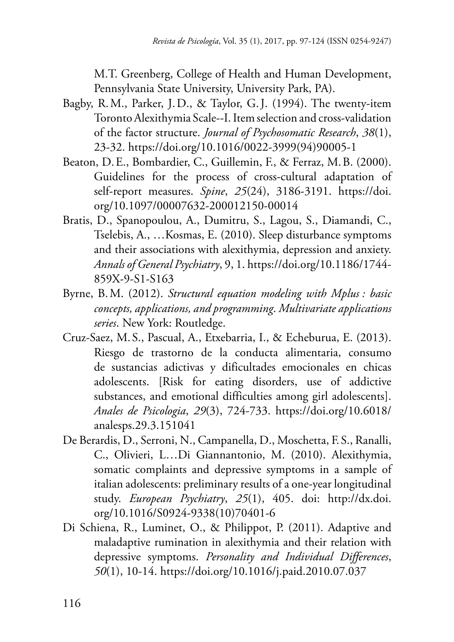M.T. Greenberg, College of Health and Human Development, Pennsylvania State University, University Park, PA).

- Bagby, R. M., Parker, J. D., & Taylor, G.J. (1994). The twenty-item Toronto Alexithymia Scale--I. Item selection and cross-validation of the factor structure. *Journal of Psychosomatic Research*, *38*(1), 23-32. https://doi.org/10.1016/0022-3999(94)90005-1
- Beaton, D. E., Bombardier, C., Guillemin, F., & Ferraz, M.B. (2000). Guidelines for the process of cross-cultural adaptation of self-report measures. *Spine*, *25*(24), 3186-3191. https://doi. org/10.1097/00007632-200012150-00014
- Bratis, D., Spanopoulou, A., Dumitru, S., Lagou, S., Diamandi, C., Tselebis, A., …Kosmas, E. (2010). Sleep disturbance symptoms and their associations with alexithymia, depression and anxiety. *Annals of General Psychiatry*, 9, 1. https://doi.org/10.1186/1744 859X-9-S1-S163
- Byrne, B. M. (2012). *Structural equation modeling with Mplus : basic concepts, applications, and programming*. *Multivariate applications series*. New York: Routledge.
- Cruz-Saez, M. S., Pascual, A., Etxebarria, I., & Echeburua, E. (2013). Riesgo de trastorno de la conducta alimentaria, consumo de sustancias adictivas y dificultades emocionales en chicas adolescents. [Risk for eating disorders, use of addictive substances, and emotional difficulties among girl adolescents]. *Anales de Psicologia*, *29*(3), 724-733. https://doi.org/10.6018/ analesps.29.3.151041
- De Berardis, D., Serroni, N., Campanella, D., Moschetta, F. S., Ranalli, C., Olivieri, L…Di Giannantonio, M. (2010). Alexithymia, somatic complaints and depressive symptoms in a sample of italian adolescents: preliminary results of a one-year longitudinal study. *European Psychiatry*, *25*(1), 405. doi: http://dx.doi. org/10.1016/S0924-9338(10)70401-6
- Di Schiena, R., Luminet, O., & Philippot, P. (2011). Adaptive and maladaptive rumination in alexithymia and their relation with depressive symptoms. *Personality and Individual Differences*, *50*(1), 10-14. https://doi.org/10.1016/j.paid.2010.07.037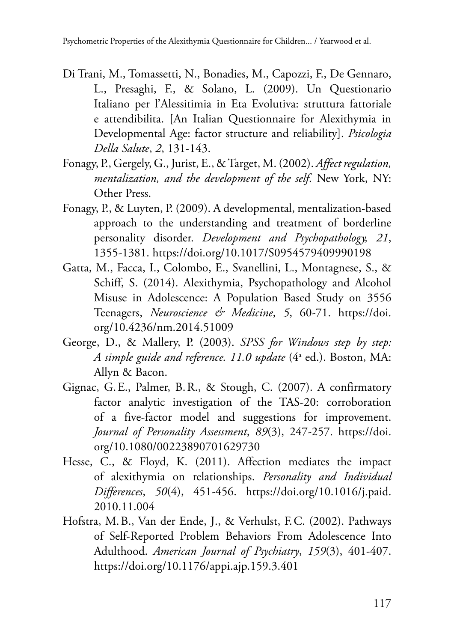- Di Trani, M., Tomassetti, N., Bonadies, M., Capozzi, F., De Gennaro, L., Presaghi, F., & Solano, L. (2009). Un Questionario Italiano per l'Alessitimia in Eta Evolutiva: struttura fattoriale e attendibilita. [An Italian Questionnaire for Alexithymia in Developmental Age: factor structure and reliability]. *Psicologia Della Salute*, *2*, 131-143.
- Fonagy, P., Gergely, G., Jurist, E., & Target, M. (2002). *Affect regulation, mentalization, and the development of the self*. New York, NY: Other Press.
- Fonagy, P., & Luyten, P. (2009). A developmental, mentalization-based approach to the understanding and treatment of borderline personality disorder. *Development and Psychopathology, 21*, 1355-1381. https://doi.org/10.1017/S0954579409990198
- Gatta, M., Facca, I., Colombo, E., Svanellini, L., Montagnese, S., & Schiff, S. (2014). Alexithymia, Psychopathology and Alcohol Misuse in Adolescence: A Population Based Study on 3556 Teenagers, *Neuroscience & Medicine*, *5*, 60-71. https://doi. org/10.4236/nm.2014.51009
- George, D., & Mallery, P. (2003). *SPSS for Windows step by step: A simple guide and reference. 11.0 update* (4a ed.). Boston, MA: Allyn & Bacon.
- Gignac, G. E., Palmer, B. R., & Stough, C. (2007). A confirmatory factor analytic investigation of the TAS-20: corroboration of a five-factor model and suggestions for improvement. *Journal of Personality Assessment*, *89*(3), 247-257. https://doi. org/10.1080/00223890701629730
- Hesse, C., & Floyd, K. (2011). Affection mediates the impact of alexithymia on relationships. *Personality and Individual Differences*, *50*(4), 451-456. https://doi.org/10.1016/j.paid. 2010.11.004
- Hofstra, M. B., Van der Ende, J., & Verhulst, F.C. (2002). Pathways of Self-Reported Problem Behaviors From Adolescence Into Adulthood. *American Journal of Psychiatry*, *159*(3), 401-407. https://doi.org/10.1176/appi.ajp.159.3.401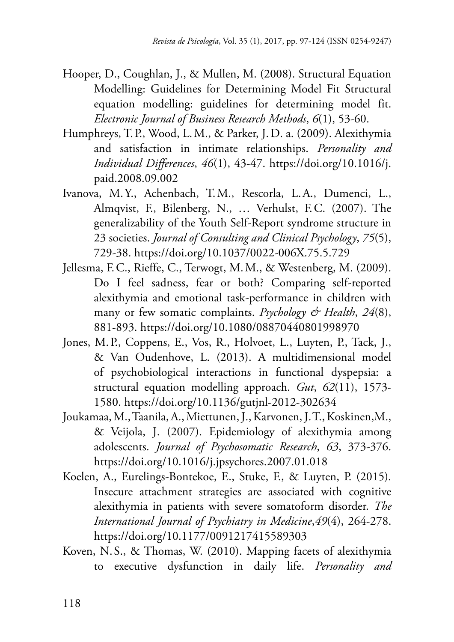- Hooper, D., Coughlan, J., & Mullen, M. (2008). Structural Equation Modelling: Guidelines for Determining Model Fit Structural equation modelling: guidelines for determining model fit. *Electronic Journal of Business Research Methods*, *6*(1), 53-60.
- Humphreys, T.P., Wood, L.M., & Parker, J. D. a. (2009). Alexithymia and satisfaction in intimate relationships. *Personality and Individual Differences*, *46*(1), 43-47. https://doi.org/10.1016/j. paid.2008.09.002
- Ivanova, M.Y., Achenbach, T. M., Rescorla, L. A., Dumenci, L., Almqvist, F., Bilenberg, N., ... Verhulst, F.C. (2007). The generalizability of the Youth Self-Report syndrome structure in 23 societies. *Journal of Consulting and Clinical Psychology*, *75*(5), 729-38. https://doi.org/10.1037/0022-006X.75.5.729
- Jellesma, F.C., Rieffe, C., Terwogt, M.M., & Westenberg, M. (2009). Do I feel sadness, fear or both? Comparing self-reported alexithymia and emotional task-performance in children with many or few somatic complaints. *Psychology & Health*, *24*(8), 881-893. https://doi.org/10.1080/08870440801998970
- Jones, M.P., Coppens, E., Vos, R., Holvoet, L., Luyten, P., Tack, J., & Van Oudenhove, L. (2013). A multidimensional model of psychobiological interactions in functional dyspepsia: a structural equation modelling approach. *Gut*, *62*(11), 1573 1580. https://doi.org/10.1136/gutjnl-2012-302634
- Joukamaa, M., Taanila, A., Miettunen, J., Karvonen, J.T., Koskinen,M., & Veijola, J. (2007). Epidemiology of alexithymia among adolescents. *Journal of Psychosomatic Research*, *63*, 373-376. https://doi.org/10.1016/j.jpsychores.2007.01.018
- Koelen, A., Eurelings-Bontekoe, E., Stuke, F., & Luyten, P. (2015)*.*  Insecure attachment strategies are associated with cognitive alexithymia in patients with severe somatoform disorder. *The International Journal of Psychiatry in Medicine*,*49*(4), 264-278. https://doi.org/10.1177/0091217415589303
- Koven, N. S., & Thomas, W. (2010). Mapping facets of alexithymia to executive dysfunction in daily life. *Personality and*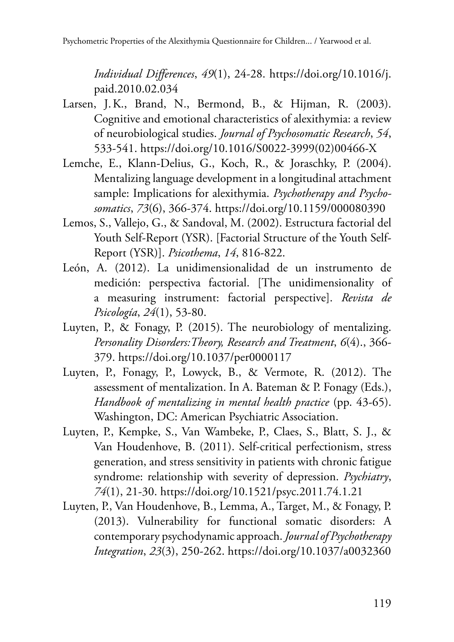Psychometric Properties of the Alexithymia Questionnaire for Children... / Yearwood et al.

*Individual Differences*, *49*(1), 24-28. https://doi.org/10.1016/j. paid.2010.02.034

- Larsen, J. K., Brand, N., Bermond, B., & Hijman, R. (2003). Cognitive and emotional characteristics of alexithymia: a review of neurobiological studies. *Journal of Psychosomatic Research*, *54*, 533-541. https://doi.org/10.1016/S0022-3999(02)00466-X
- Lemche, E., Klann-Delius, G., Koch, R., & Joraschky, P. (2004). Mentalizing language development in a longitudinal attachment sample: Implications for alexithymia. *Psychotherapy and Psychosomatics*, *73*(6), 366-374. https://doi.org/10.1159/000080390
- Lemos, S., Vallejo, G., & Sandoval, M. (2002). Estructura factorial del Youth Self-Report (YSR). [Factorial Structure of the Youth Self-Report (YSR)]. *Psicothema*, *14*, 816-822.
- León, A. (2012). La unidimensionalidad de un instrumento de medición: perspectiva factorial. [The unidimensionality of a measuring instrument: factorial perspective]. *Revista de Psicología*, *24*(1), 53-80.
- Luyten, P., & Fonagy, P. (2015). The neurobiology of mentalizing. *Personality Disorders:Theory, Research and Treatment*, *6*(4)., 366 379. https://doi.org/10.1037/per0000117
- Luyten, P., Fonagy, P., Lowyck, B., & Vermote, R. (2012). The assessment of mentalization. In A. Bateman & P. Fonagy (Eds.), *Handbook of mentalizing in mental health practice* (pp. 43-65). Washington, DC: American Psychiatric Association.
- Luyten, P., Kempke, S., Van Wambeke, P., Claes, S., Blatt, S. J., & Van Houdenhove, B. (2011). Self-critical perfectionism, stress generation, and stress sensitivity in patients with chronic fatigue syndrome: relationship with severity of depression. *Psychiatry*, *74*(1), 21-30. https://doi.org/10.1521/psyc.2011.74.1.21
- Luyten, P., Van Houdenhove, B., Lemma, A., Target, M., & Fonagy, P. (2013). Vulnerability for functional somatic disorders: A contemporary psychodynamic approach. *Journal of Psychotherapy Integration*, *23*(3), 250-262. https://doi.org/10.1037/a0032360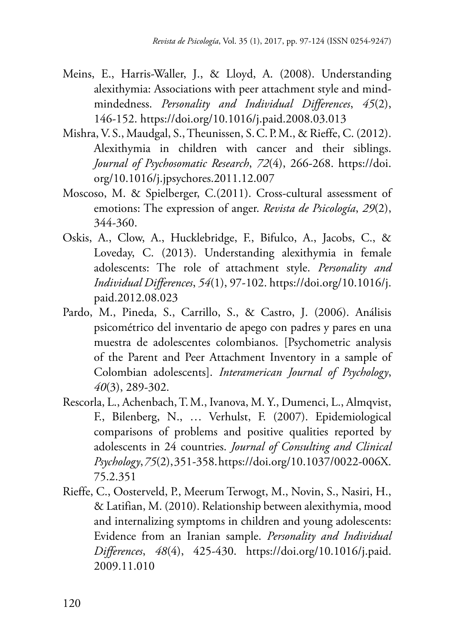- Meins, E., Harris-Waller, J., & Lloyd, A. (2008). Understanding alexithymia: Associations with peer attachment style and mindmindedness. *Personality and Individual Differences*, *45*(2), 146-152. https://doi.org/10.1016/j.paid.2008.03.013
- Mishra, V.S., Maudgal, S., Theunissen, S. C. P. M., & Rieffe, C. (2012). Alexithymia in children with cancer and their siblings. *Journal of Psychosomatic Research*, *72*(4), 266-268. https://doi. org/10.1016/j.jpsychores.2011.12.007
- Moscoso, M. & Spielberger, C.(2011). Cross-cultural assessment of emotions: The expression of anger. *Revista de Psicología*, *29*(2), 344-360.
- Oskis, A., Clow, A., Hucklebridge, F., Bifulco, A., Jacobs, C., & Loveday, C. (2013). Understanding alexithymia in female adolescents: The role of attachment style. *Personality and Individual Differences*, *54*(1), 97-102. https://doi.org/10.1016/j. paid.2012.08.023
- Pardo, M., Pineda, S., Carrillo, S., & Castro, J. (2006). Análisis psicométrico del inventario de apego con padres y pares en una muestra de adolescentes colombianos. [Psychometric analysis of the Parent and Peer Attachment Inventory in a sample of Colombian adolescents]. *Interamerican Journal of Psychology*, *40*(3), 289-302.
- Rescorla, L., Achenbach, T. M., Ivanova, M. Y., Dumenci, L., Almqvist, F., Bilenberg, N., … Verhulst, F. (2007). Epidemiological comparisons of problems and positive qualities reported by adolescents in 24 countries. *Journal of Consulting and Clinical Psychology*,*75*(2), 351-358.https://doi.org/10.1037/0022-006X. 75.2.351
- Rieffe, C., Oosterveld, P., Meerum Terwogt, M., Novin, S., Nasiri, H., & Latifian, M. (2010). Relationship between alexithymia, mood and internalizing symptoms in children and young adolescents: Evidence from an Iranian sample. *Personality and Individual Differences*, *48*(4), 425-430. https://doi.org/10.1016/j.paid. 2009.11.010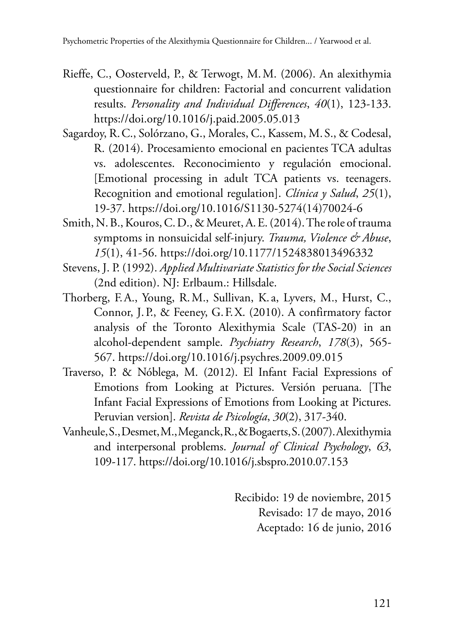- Rieffe, C., Oosterveld, P., & Terwogt, M. M. (2006). An alexithymia questionnaire for children: Factorial and concurrent validation results. *Personality and Individual Differences*, *40*(1), 123-133. https://doi.org/10.1016/j.paid.2005.05.013
- Sagardoy, R. C., Solórzano, G., Morales, C., Kassem, M.S., & Codesal, R. (2014). Procesamiento emocional en pacientes TCA adultas vs. adolescentes. Reconocimiento y regulación emocional. [Emotional processing in adult TCA patients vs. teenagers. Recognition and emotional regulation]. *Clínica y Salud*, *25*(1), 19-37. https://doi.org/10.1016/S1130-5274(14)70024-6
- Smith, N. B., Kouros, C. D., & Meuret, A. E. (2014). The role of trauma symptoms in nonsuicidal self-injury. *Trauma, Violence & Abuse*, *15*(1), 41-56. https://doi.org/10.1177/1524838013496332
- Stevens, J. P. (1992). *Applied Multivariate Statistics for the Social Sciences*  (2nd edition). NJ: Erlbaum.: Hillsdale.
- Connor, J. P., & Feeney, G. F. X. (2010). A confirmatory factor Thorberg, F. A., Young, R. M., Sullivan, K. a, Lyvers, M., Hurst, C., analysis of the Toronto Alexithymia Scale (TAS-20) in an alcohol-dependent sample. *Psychiatry Research*, *178*(3), 565 567. https://doi.org/10.1016/j.psychres.2009.09.015
- Traverso, P. & Nóblega, M. (2012). El Infant Facial Expressions of Emotions from Looking at Pictures. Versión peruana. [The Infant Facial Expressions of Emotions from Looking at Pictures. Peruvian version]. *Revista de Psicología*, *30*(2), 317-340.
- Vanheule, S., Desmet, M., Meganck, R., & Bogaerts, S. (2007). Alexithymia and interpersonal problems. *Journal of Clinical Psychology*, *63*, 109-117. https://doi.org/10.1016/j.sbspro.2010.07.153

Recibido: 19 de noviembre, 2015 Revisado: 17 de mayo, 2016 Aceptado: 16 de junio, 2016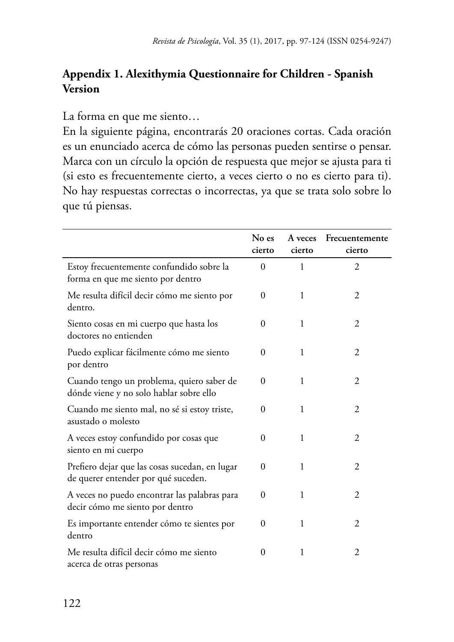# **Appendix 1. Alexithymia Questionnaire for Children - Spanish Version**

La forma en que me siento…

En la siguiente página, encontrarás 20 oraciones cortas. Cada oración es un enunciado acerca de cómo las personas pueden sentirse o pensar. Marca con un círculo la opción de respuesta que mejor se ajusta para ti (si esto es frecuentemente cierto, a veces cierto o no es cierto para ti). No hay respuestas correctas o incorrectas, ya que se trata solo sobre lo que tú piensas.

|                                                                                       | No es<br>cierto | A veces<br>cierto | Frecuentemente<br>cierto |
|---------------------------------------------------------------------------------------|-----------------|-------------------|--------------------------|
| Estoy frecuentemente confundido sobre la<br>forma en que me siento por dentro         | $\Omega$        | 1                 | 2                        |
| Me resulta difícil decir cómo me siento por<br>dentro.                                | $\Omega$        | 1                 | 2                        |
| Siento cosas en mi cuerpo que hasta los<br>doctores no entienden                      | $\Omega$        | 1                 | 2                        |
| Puedo explicar fácilmente cómo me siento<br>por dentro                                | $\Omega$        | 1                 | 2                        |
| Cuando tengo un problema, quiero saber de<br>dónde viene y no solo hablar sobre ello  | $\Omega$        | 1                 | 2                        |
| Cuando me siento mal, no sé si estoy triste,<br>asustado o molesto                    | $\Omega$        | 1                 | 2                        |
| A veces estoy confundido por cosas que<br>siento en mi cuerpo                         | $\Omega$        | 1                 | 2                        |
| Prefiero dejar que las cosas sucedan, en lugar<br>de querer entender por qué suceden. | $\Omega$        | 1                 | 2                        |
| A veces no puedo encontrar las palabras para<br>decir cómo me siento por dentro       | $\Omega$        | 1                 | 2                        |
| Es importante entender cómo te sientes por<br>dentro                                  | $\Omega$        | 1                 | $\overline{c}$           |
| Me resulta difícil decir cómo me siento<br>acerca de otras personas                   | $\Omega$        | 1                 | $\overline{c}$           |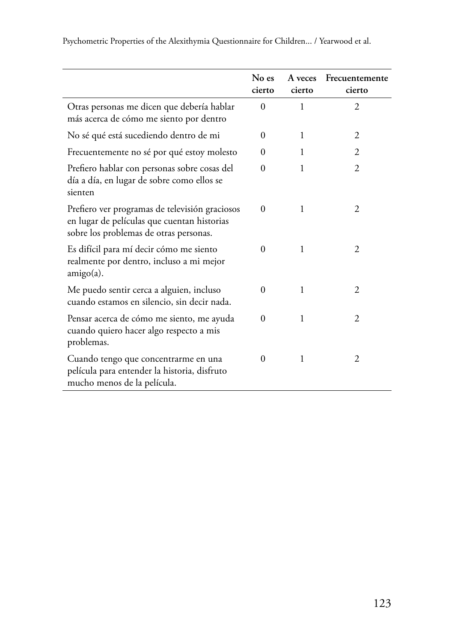|                                                                                                                                         | No es<br>cierto | A veces<br>cierto | Frecuentemente<br>cierto |
|-----------------------------------------------------------------------------------------------------------------------------------------|-----------------|-------------------|--------------------------|
| Otras personas me dicen que debería hablar<br>más acerca de cómo me siento por dentro                                                   | $\Omega$        | 1                 | $\overline{c}$           |
| No sé qué está sucediendo dentro de mi                                                                                                  | $\Omega$        | 1                 | 2                        |
| Frecuentemente no sé por qué estoy molesto                                                                                              | $\Omega$        | 1                 | 2                        |
| Prefiero hablar con personas sobre cosas del<br>día a día, en lugar de sobre como ellos se<br>sienten                                   | $\Omega$        | 1                 | $\overline{c}$           |
| Prefiero ver programas de televisión graciosos<br>en lugar de películas que cuentan historias<br>sobre los problemas de otras personas. | $\Omega$        | 1                 | 2                        |
| Es difícil para mí decir cómo me siento<br>realmente por dentro, incluso a mi mejor<br>$amigo(a)$ .                                     | $\Omega$        | 1                 | 2                        |
| Me puedo sentir cerca a alguien, incluso<br>cuando estamos en silencio, sin decir nada.                                                 | $\Omega$        | 1                 | $\overline{c}$           |
| Pensar acerca de cómo me siento, me ayuda<br>cuando quiero hacer algo respecto a mis<br>problemas.                                      | $\theta$        | 1                 | 2                        |
| Cuando tengo que concentrarme en una<br>película para entender la historia, disfruto<br>mucho menos de la película.                     | $\Omega$        | 1                 | 2                        |

Psychometric Properties of the Alexithymia Questionnaire for Children... / Yearwood et al.